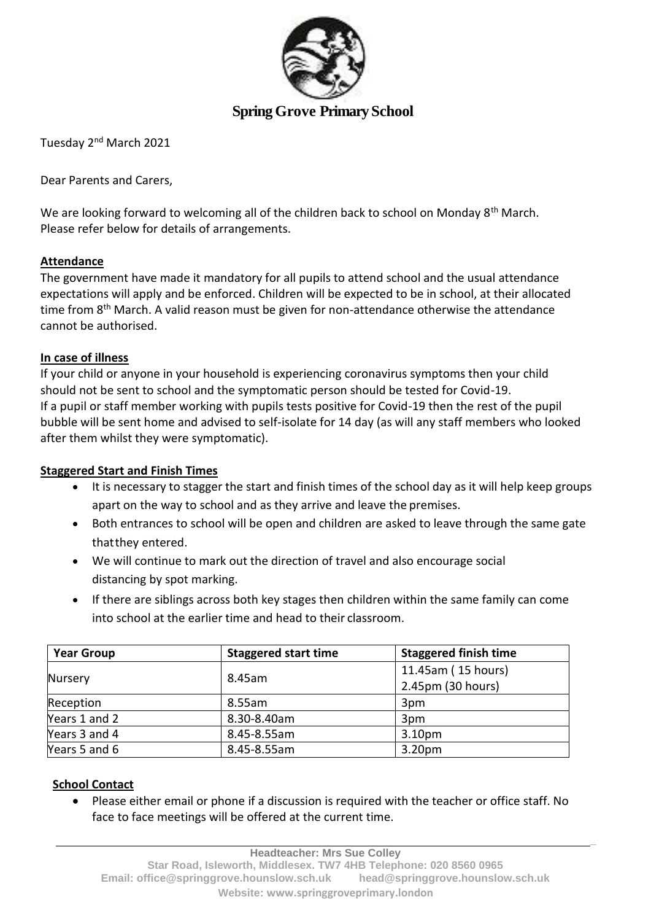

## **Spring Grove Primary School**

Tuesday 2nd March 2021

Dear Parents and Carers,

We are looking forward to welcoming all of the children back to school on Monday 8<sup>th</sup> March. Please refer below for details of arrangements.

### **Attendance**

The government have made it mandatory for all pupils to attend school and the usual attendance expectations will apply and be enforced. Children will be expected to be in school, at their allocated time from  $8<sup>th</sup>$  March. A valid reason must be given for non-attendance otherwise the attendance cannot be authorised.

#### **In case of illness**

If your child or anyone in your household is experiencing coronavirus symptoms then your child should not be sent to school and the symptomatic person should be tested for Covid-19. If a pupil or staff member working with pupils tests positive for Covid-19 then the rest of the pupil bubble will be sent home and advised to self-isolate for 14 day (as will any staff members who looked after them whilst they were symptomatic).

### **Staggered Start and Finish Times**

- It is necessary to stagger the start and finish times of the school day as it will help keep groups apart on the way to school and as they arrive and leave the premises.
- Both entrances to school will be open and children are asked to leave through the same gate thatthey entered.
- We will continue to mark out the direction of travel and also encourage social distancing by spot marking.
- If there are siblings across both key stages then children within the same family can come into school at the earlier time and head to their classroom.

| <b>Year Group</b> | <b>Staggered start time</b> | <b>Staggered finish time</b> |
|-------------------|-----------------------------|------------------------------|
| Nursery           | 8.45am                      | 11.45am (15 hours)           |
|                   |                             | 2.45pm (30 hours)            |
| Reception         | 8.55am                      | 3pm                          |
| Years 1 and 2     | 8.30-8.40am                 | 3pm                          |
| Years 3 and 4     | 8.45-8.55am                 | 3.10 <sub>pm</sub>           |
| Years 5 and 6     | 8.45-8.55am                 | 3.20 <sub>pm</sub>           |

### **School Contact**

• Please either email or phone if a discussion is required with the teacher or office staff. No face to face meetings will be offered at the current time.

**\_**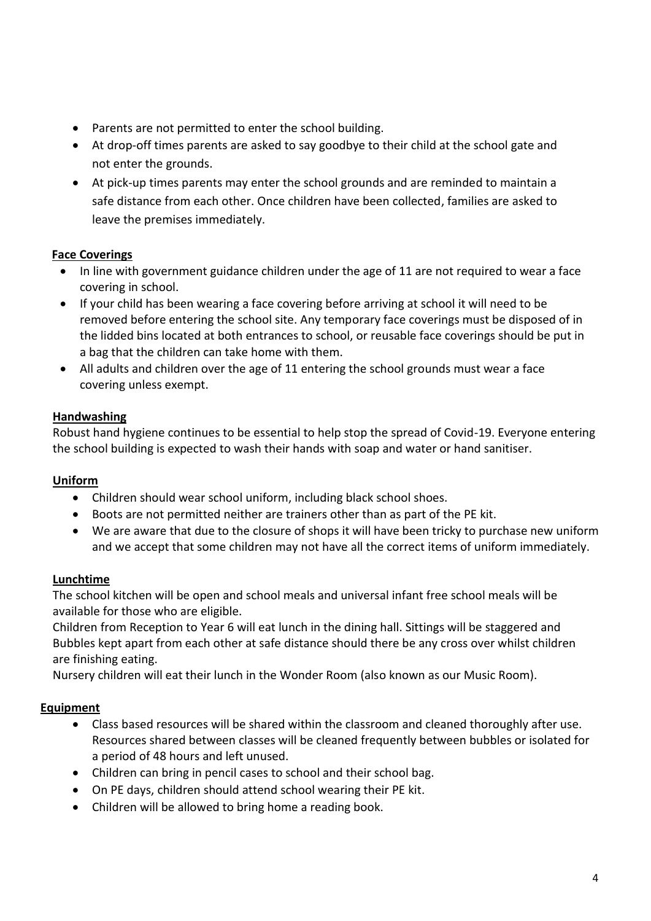- Parents are not permitted to enter the school building.
- At drop-off times parents are asked to say goodbye to their child at the school gate and not enter the grounds.
- At pick-up times parents may enter the school grounds and are reminded to maintain a safe distance from each other. Once children have been collected, families are asked to leave the premises immediately.

### **Face Coverings**

- In line with government guidance children under the age of 11 are not required to wear a face covering in school.
- If your child has been wearing a face covering before arriving at school it will need to be removed before entering the school site. Any temporary face coverings must be disposed of in the lidded bins located at both entrances to school, or reusable face coverings should be put in a bag that the children can take home with them.
- All adults and children over the age of 11 entering the school grounds must wear a face covering unless exempt.

### **Handwashing**

Robust hand hygiene continues to be essential to help stop the spread of Covid-19. Everyone entering the school building is expected to wash their hands with soap and water or hand sanitiser.

### **Uniform**

- Children should wear school uniform, including black school shoes.
- Boots are not permitted neither are trainers other than as part of the PE kit.
- We are aware that due to the closure of shops it will have been tricky to purchase new uniform and we accept that some children may not have all the correct items of uniform immediately.

# **Lunchtime**

The school kitchen will be open and school meals and universal infant free school meals will be available for those who are eligible.

Children from Reception to Year 6 will eat lunch in the dining hall. Sittings will be staggered and Bubbles kept apart from each other at safe distance should there be any cross over whilst children are finishing eating.

Nursery children will eat their lunch in the Wonder Room (also known as our Music Room).

### **Equipment**

- Class based resources will be shared within the classroom and cleaned thoroughly after use. Resources shared between classes will be cleaned frequently between bubbles or isolated for a period of 48 hours and left unused.
- Children can bring in pencil cases to school and their school bag.
- On PE days, children should attend school wearing their PE kit.
- Children will be allowed to bring home a reading book.